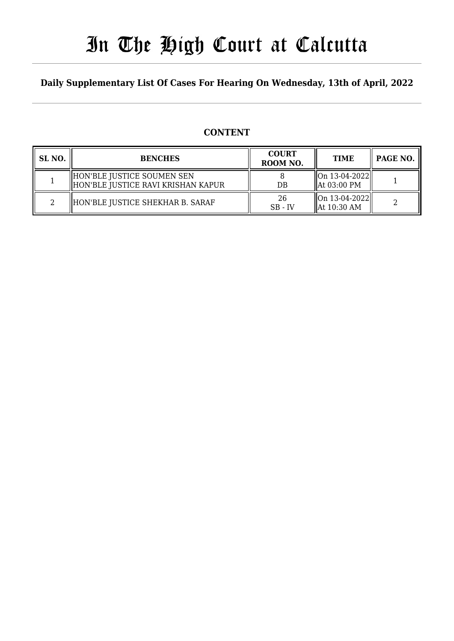# In The High Court at Calcutta

### **Daily Supplementary List Of Cases For Hearing On Wednesday, 13th of April, 2022**

## **CONTENT**

| SL NO. | <b>BENCHES</b>                                                     | <b>COURT</b><br>ROOM NO. | <b>TIME</b>                                        | PAGE NO. |
|--------|--------------------------------------------------------------------|--------------------------|----------------------------------------------------|----------|
|        | HON'BLE JUSTICE SOUMEN SEN<br>  HON'BLE JUSTICE RAVI KRISHAN KAPUR | DB                       | $\ $ On 13-04-2022 $\ $<br>  At 03:00 PM           |          |
|        | HON'BLE JUSTICE SHEKHAR B. SARAF                                   | 26<br>$SB - IV$          | $\ $ On 13-04-2022 $\ $<br>$\parallel$ At 10:30 AM |          |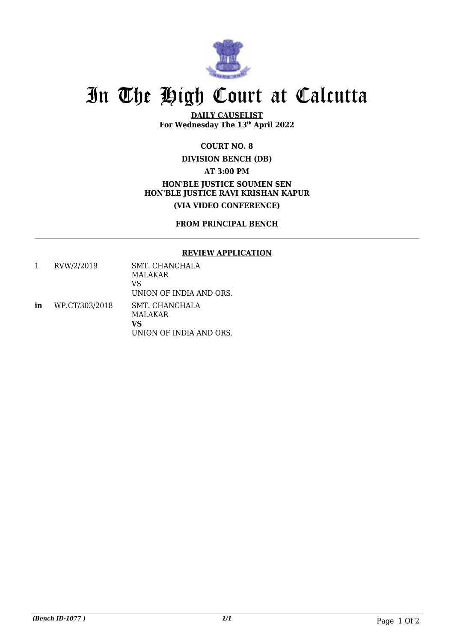

# In The High Court at Calcutta

**DAILY CAUSELIST For Wednesday The 13th April 2022**

#### **COURT NO. 8**

### **DIVISION BENCH (DB) AT 3:00 PM HON'BLE JUSTICE SOUMEN SEN HON'BLE JUSTICE RAVI KRISHAN KAPUR (VIA VIDEO CONFERENCE)**

#### **FROM PRINCIPAL BENCH**

#### **REVIEW APPLICATION**

1 RVW/2/2019 SMT. CHANCHALA MALAKAR VS UNION OF INDIA AND ORS. **in** WP.CT/303/2018 SMT. CHANCHALA MALAKAR **VS** UNION OF INDIA AND ORS.